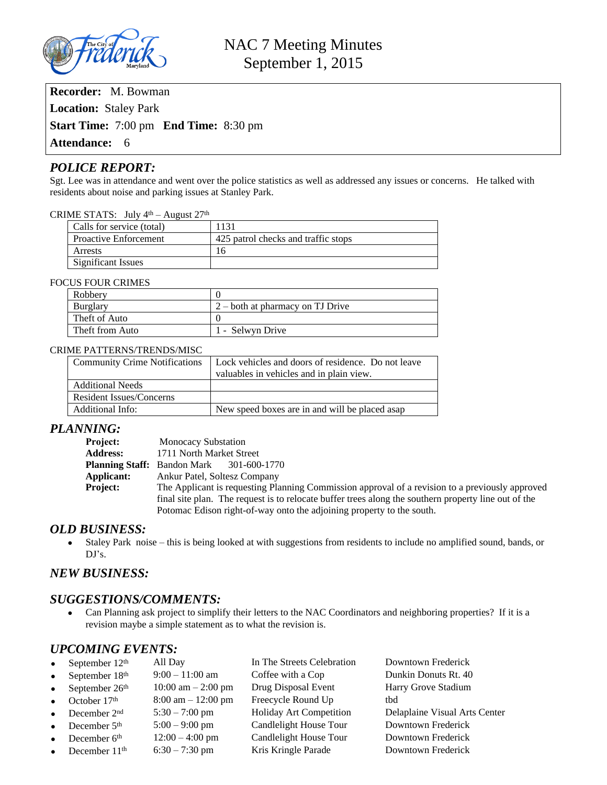

**Recorder:** M. Bowman **Location:** Staley Park **Start Time:** 7:00 pm **End Time:** 8:30 pm **Attendance:** 6

## *POLICE REPORT:*

Sgt. Lee was in attendance and went over the police statistics as well as addressed any issues or concerns. He talked with residents about noise and parking issues at Stanley Park.

#### CRIME STATS: July 4<sup>th</sup> – August 27<sup>th</sup>

| Calls for service (total)    | 1131                                |
|------------------------------|-------------------------------------|
| <b>Proactive Enforcement</b> | 425 patrol checks and traffic stops |
| Arrests                      | 16                                  |
| Significant Issues           |                                     |

#### FOCUS FOUR CRIMES

| Robbery         |                                  |
|-----------------|----------------------------------|
| Burglary        | 2 – both at pharmacy on TJ Drive |
| Theft of Auto   |                                  |
| Theft from Auto | 1 - Selwyn Drive                 |

#### CRIME PATTERNS/TRENDS/MISC

| <b>Community Crime Notifications</b> | Lock vehicles and doors of residence. Do not leave |  |  |
|--------------------------------------|----------------------------------------------------|--|--|
|                                      | valuables in vehicles and in plain view.           |  |  |
| <b>Additional Needs</b>              |                                                    |  |  |
| <b>Resident Issues/Concerns</b>      |                                                    |  |  |
| Additional Info:                     | New speed boxes are in and will be placed asap     |  |  |

#### *PLANNING:*

| <b>Project:</b> | <b>Monocacy Substation</b>                                                                           |  |  |
|-----------------|------------------------------------------------------------------------------------------------------|--|--|
| <b>Address:</b> | 1711 North Market Street                                                                             |  |  |
|                 | <b>Planning Staff:</b> Bandon Mark 301-600-1770                                                      |  |  |
| Applicant:      | Ankur Patel, Soltesz Company                                                                         |  |  |
| <b>Project:</b> | The Applicant is requesting Planning Commission approval of a revision to a previously approved      |  |  |
|                 | final site plan. The request is to relocate buffer trees along the southern property line out of the |  |  |
|                 | Potomac Edison right-of-way onto the adjoining property to the south.                                |  |  |

#### *OLD BUSINESS:*

 Staley Park noise – this is being looked at with suggestions from residents to include no amplified sound, bands, or  $DJ's.$ 

## *NEW BUSINESS:*

#### *SUGGESTIONS/COMMENTS:*

 Can Planning ask project to simplify their letters to the NAC Coordinators and neighboring properties? If it is a revision maybe a simple statement as to what the revision is.

## *UPCOMING EVENTS:*

| $\bullet$ | September $12th$   | All Day                              | In The Streets Celebration | Downtown Frederick            |
|-----------|--------------------|--------------------------------------|----------------------------|-------------------------------|
| $\bullet$ | September 18th     | $9:00-11:00$ am                      | Coffee with a Cop          | Dunkin Donuts Rt. 40          |
|           | • September $26th$ | $10:00 \text{ am} - 2:00 \text{ pm}$ | Drug Disposal Event        | Harry Grove Stadium           |
|           | • October $17th$   | $8:00 \text{ am} - 12:00 \text{ pm}$ | Freecycle Round Up         | thd                           |
|           | • December $2nd$   | $5:30 - 7:00$ pm                     | Holiday Art Competition    | Delaplaine Visual Arts Center |
|           | • December $5th$   | $5:00 - 9:00$ pm                     | Candlelight House Tour     | Downtown Frederick            |
|           | • December $6th$   | $12:00 - 4:00$ pm                    | Candlelight House Tour     | Downtown Frederick            |
|           | • December $11th$  | $6:30 - 7:30$ pm                     | Kris Kringle Parade        | Downtown Frederick            |